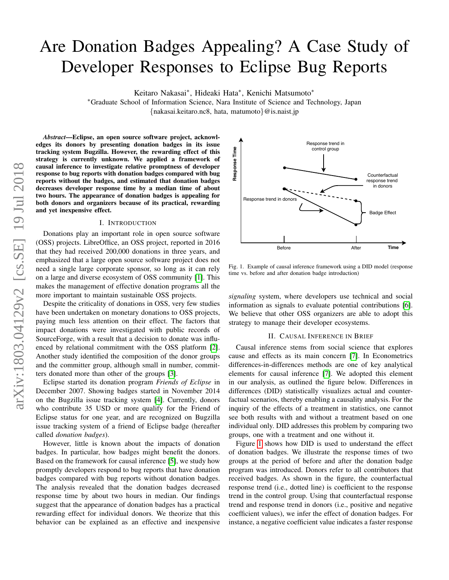# Are Donation Badges Appealing? A Case Study of Developer Responses to Eclipse Bug Reports

Keitaro Nakasai<sup>∗</sup> , Hideaki Hata<sup>∗</sup> , Kenichi Matsumoto<sup>∗</sup>

<sup>∗</sup>Graduate School of Information Science, Nara Institute of Science and Technology, Japan {nakasai.keitaro.nc8, hata, matumoto}@is.naist.jp

*Abstract*—Eclipse, an open source software project, acknowledges its donors by presenting donation badges in its issue tracking system Bugzilla. However, the rewarding effect of this strategy is currently unknown. We applied a framework of causal inference to investigate relative promptness of developer response to bug reports with donation badges compared with bug reports without the badges, and estimated that donation badges decreases developer response time by a median time of about two hours. The appearance of donation badges is appealing for both donors and organizers because of its practical, rewarding and yet inexpensive effect.

### I. INTRODUCTION

Donations play an important role in open source software (OSS) projects. LibreOffice, an OSS project, reported in 2016 that they had received 200,000 donations in three years, and emphasized that a large open source software project does not need a single large corporate sponsor, so long as it can rely on a large and diverse ecosystem of OSS community [\[1\]](#page-2-0). This makes the management of effective donation programs all the more important to maintain sustainable OSS projects.

Despite the criticality of donations in OSS, very few studies have been undertaken on monetary donations to OSS projects, paying much less attention on their effect. The factors that impact donations were investigated with public records of SourceForge, with a result that a decision to donate was influenced by relational commitment with the OSS platform [\[2\]](#page-2-1). Another study identified the composition of the donor groups and the committer group, although small in number, committers donated more than other of the groups [\[3\]](#page-2-2).

Eclipse started its donation program *Friends of Eclipse* in December 2007. Showing badges started in November 2014 on the Bugzilla issue tracking system [\[4\]](#page-2-3). Currently, donors who contribute 35 USD or more qualify for the Friend of Eclipse status for one year, and are recognized on Bugzilla issue tracking system of a friend of Eclipse badge (hereafter called *donation badges*).

However, little is known about the impacts of donation badges. In particular, how badges might benefit the donors. Based on the framework for causal inference [\[5\]](#page-2-4), we study how promptly developers respond to bug reports that have donation badges compared with bug reports without donation badges. The analysis revealed that the donation badges decreased response time by about two hours in median. Our findings suggest that the appearance of donation badges has a practical rewarding effect for individual donors. We theorize that this behavior can be explained as an effective and inexpensive



<span id="page-0-0"></span>Fig. 1. Example of causal inference framework using a DID model (response time vs. before and after donation badge introduction)

*signaling* system, where developers use technical and social information as signals to evaluate potential contributions [\[6\]](#page-3-0). We believe that other OSS organizers are able to adopt this strategy to manage their developer ecosystems.

#### II. CAUSAL INFERENCE IN BRIEF

Causal inference stems from social science that explores cause and effects as its main concern [\[7\]](#page-3-1). In Econometrics differences-in-differences methods are one of key analytical elements for causal inference [\[7\]](#page-3-1). We adopted this element in our analysis, as outlined the figure below. Differences in differences (DID) statistically visualizes actual and counterfactual scenarios, thereby enabling a causality analysis. For the inquiry of the effects of a treatment in statistics, one cannot see both results with and without a treatment based on one individual only. DID addresses this problem by comparing two groups, one with a treatment and one without it.

Figure [1](#page-0-0) shows how DID is used to understand the effect of donation badges. We illustrate the response times of two groups at the period of before and after the donation badge program was introduced. Donors refer to all contributors that received badges. As shown in the figure, the counterfactual response trend (i.e., dotted line) is coefficient to the response trend in the control group. Using that counterfactual response trend and response trend in donors (i.e., positive and negative coefficient values), we infer the effect of donation badges. For instance, a negative coefficient value indicates a faster response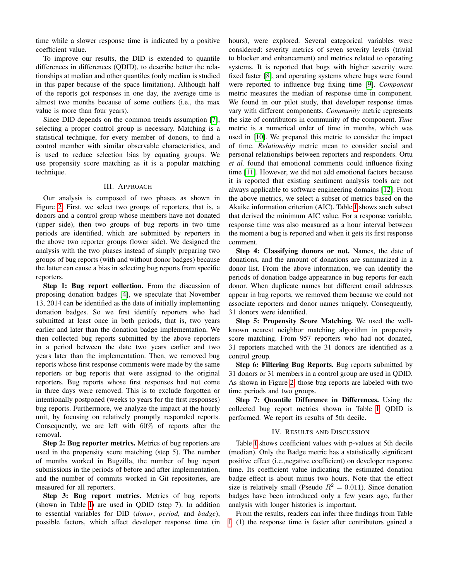time while a slower response time is indicated by a positive coefficient value.

To improve our results, the DID is extended to quantile differences in differences (QDID), to describe better the relationships at median and other quantiles (only median is studied in this paper because of the space limitation). Although half of the reports got responses in one day, the average time is almost two months because of some outliers (i.e., the max value is more than four years).

Since DID depends on the common trends assumption [\[7\]](#page-3-1), selecting a proper control group is necessary. Matching is a statistical technique, for every member of donors, to find a control member with similar observable characteristics, and is used to reduce selection bias by equating groups. We use propensity score matching as it is a popular matching technique.

### III. APPROACH

Our analysis is composed of two phases as shown in Figure [2.](#page-2-5) First, we select two groups of reporters, that is, a donors and a control group whose members have not donated (upper side), then two groups of bug reports in two time periods are identified, which are submitted by reporters in the above two reporter groups (lower side). We designed the analysis with the two phases instead of simply preparing two groups of bug reports (with and without donor badges) because the latter can cause a bias in selecting bug reports from specific reporters.

Step 1: Bug report collection. From the discussion of proposing donation badges [\[4\]](#page-2-3), we speculate that November 13, 2014 can be identified as the date of initially implementing donation badges. So we first identify reporters who had submitted at least once in both periods, that is, two years earlier and later than the donation badge implementation. We then collected bug reports submitted by the above reporters in a period between the date two years earlier and two years later than the implementation. Then, we removed bug reports whose first response comments were made by the same reporters or bug reports that were assigned to the original reporters. Bug reports whose first responses had not come in three days were removed. This is to exclude forgotten or intentionally postponed (weeks to years for the first responses) bug reports. Furthermore, we analyze the impact at the hourly unit, by focusing on relatively promptly responded reports. Consequently, we are left with 60% of reports after the removal.

Step 2: Bug reporter metrics. Metrics of bug reporters are used in the propensity score matching (step 5). The number of months worked in Bugzilla, the number of bug report submissions in the periods of before and after implementation, and the number of commits worked in Git repositories, are measured for all reporters.

Step 3: Bug report metrics. Metrics of bug reports (shown in Table [I\)](#page-2-6) are used in QDID (step 7). In addition to essential variables for DID (*donor*, *period*, and *badge*), possible factors, which affect developer response time (in hours), were explored. Several categorical variables were considered: severity metrics of seven severity levels (trivial to blocker and enhancement) and metrics related to operating systems. It is reported that bugs with higher severity were fixed faster [\[8\]](#page-3-2), and operating systems where bugs were found were reported to influence bug fixing time [\[9\]](#page-3-3). *Component* metric measures the median of response time in component. We found in our pilot study, that developer response times vary with different components. *Community* metric represents the size of contributors in community of the component. *Time* metric is a numerical order of time in months, which was used in [\[10\]](#page-3-4). We prepared this metric to consider the impact of time. *Relationship* metric mean to consider social and personal relationships between reporters and responders. Ortu *et al.* found that emotional comments could influence fixing time [\[11\]](#page-3-5). However, we did not add emotional factors because it is reported that existing sentiment analysis tools are not always applicable to software engineering domains [\[12\]](#page-3-6). From the above metrics, we select a subset of metrics based on the Akaike information criterion (AIC). Table [I](#page-2-6) shows such subset that derived the minimum AIC value. For a response variable, response time was also measured as a hour interval between the moment a bug is reported and when it gets its first response comment.

Step 4: Classifying donors or not. Names, the date of donations, and the amount of donations are summarized in a donor list. From the above information, we can identify the periods of donation badge appearance in bug reports for each donor. When duplicate names but different email addresses appear in bug reports, we removed them because we could not associate reporters and donor names uniquely. Consequently, 31 donors were identified.

Step 5: Propensity Score Matching. We used the wellknown nearest neighbor matching algorithm in propensity score matching. From 957 reporters who had not donated, 31 reporters matched with the 31 donors are identified as a control group.

Step 6: Filtering Bug Reports. Bug reports submitted by 31 donors or 31 members in a control group are used in QDID. As shown in Figure [2,](#page-2-5) those bug reports are labeled with two time periods and two groups.

Step 7: Quantile Difference in Differences. Using the collected bug report metrics shown in Table [I,](#page-2-6) QDID is performed. We report its results of 5th decile.

## IV. RESULTS AND DISCUSSION

Table [I](#page-2-6) shows coefficient values with p-values at 5th decile (median). Only the Badge metric has a statistically significant positive effect (i.e.,negative coefficient) on developer response time. Its coefficient value indicating the estimated donation badge effect is about minus two hours. Note that the effect size is relatively small (Pseudo  $R^2 = 0.011$ ). Since donation badges have been introduced only a few years ago, further analysis with longer histories is important.

From the results, readers can infer three findings from Table [I.](#page-2-6) (1) the response time is faster after contributors gained a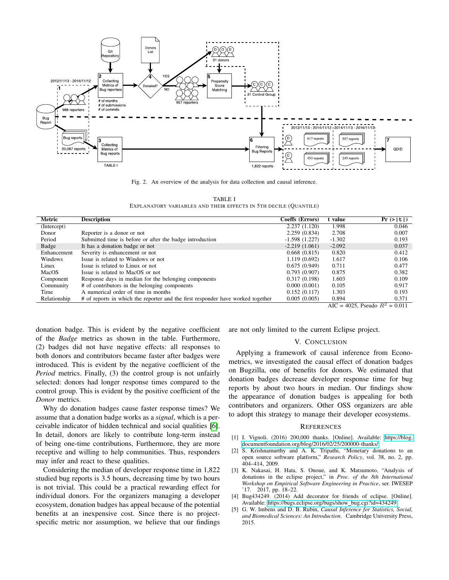

<span id="page-2-5"></span>Fig. 2. An overview of the analysis for data collection and causal inference.

TABLE I EXPLANATORY VARIABLES AND THEIR EFFECTS IN 5TH DECILE (QUANTILE)

<span id="page-2-6"></span>

| Metric       | <b>Description</b>                                                              | Coeffs (Errors) | value         | Pr ( >   t   )                        |
|--------------|---------------------------------------------------------------------------------|-----------------|---------------|---------------------------------------|
| (Intercept)  |                                                                                 | 2.237(1.120)    | 1.998         | 0.046                                 |
| Donor        | Reporter is a donor or not                                                      | 2.259(0.834)    | 2.708         | 0.007                                 |
| Period       | Submitted time is before or after the badge introduction                        | $-1.598(1.227)$ | $-1.302$      | 0.193                                 |
| Badge        | It has a donation badge or not                                                  | $-2.219(1.061)$ | $-2.092$      | 0.037                                 |
| Enhancement  | Severity is enhancement or not                                                  | 0.668(0.815)    | 0.820         | 0.412                                 |
| Windows      | Issue is related to Windows or not                                              | 1.119 (0.692)   | 1.617         | 0.106                                 |
| Linux        | Issue is related to Linux or not                                                | 0.675(0.949)    | 0.711         | 0.477                                 |
| MacOS        | Issue is related to MacOS or not                                                | 0.793(0.907)    | 0.875         | 0.382                                 |
| Component    | Response days in median for the belonging components                            | 0.317(0.198)    | 1.603         | 0.109                                 |
| Community    | # of contributors in the belonging components                                   | 0.000(0.001)    | 0.105         | 0.917                                 |
| Time         | A numerical order of time in months                                             | 0.152(0.117)    | 1.303         | 0.193                                 |
| Relationship | # of reports in which the reporter and the first responder have worked together | 0.005(0.005)    | 0.894<br>1025 | 0.371<br>$\mathcal{D}^{(1)}$<br>0.011 |

AIC = 4025, Pseudo  $R^2 = 0.011$ 

donation badge. This is evident by the negative coefficient of the *Badge* metrics as shown in the table. Furthermore, (2) badges did not have negative effects: all responses to both donors and contributors became faster after badges were introduced. This is evident by the negative coefficient of the *Period* metrics. Finally, (3) the control group is not unfairly selected: donors had longer response times compared to the control group. This is evident by the positive coefficient of the *Donor* metrics.

Why do donation badges cause faster response times? We assume that a donation badge works as a *signal*, which is a perceivable indicator of hidden technical and social qualities [\[6\]](#page-3-0). In detail, donors are likely to contribute long-term instead of being one-time contributions, Furthermore, they are more receptive and willing to help communities. Thus, responders may infer and react to these qualities.

Considering the median of developer response time in 1,822 studied bug reports is 3.5 hours, decreasing time by two hours is not trivial. This could be a practical rewarding effect for individual donors. For the organizers managing a developer ecosystem, donation badges has appeal because of the potential benefits at an inexpensive cost. Since there is no projectspecific metric nor assumption, we believe that our findings are not only limited to the current Eclipse project.

#### V. CONCLUSION

Applying a framework of causal inference from Econometrics, we investigated the causal effect of donation badges on Bugzilla, one of benefits for donors. We estimated that donation badges decrease developer response time for bug reports by about two hours in median. Our findings show the appearance of donation badges is appealing for both contributors and organizers. Other OSS organizers are able to adopt this strategy to manage their developer ecosystems.

#### **REFERENCES**

- <span id="page-2-0"></span>[1] I. Vignoli. (2016) 200,000 thanks. [Online]. Available: [https://blog.](https://blog.documentfoundation.org/blog/2016/02/25/200000-thanks/) [documentfoundation.org/blog/2016/02/25/200000-thanks/](https://blog.documentfoundation.org/blog/2016/02/25/200000-thanks/)
- <span id="page-2-1"></span>[2] S. Krishnamurthy and A. K. Tripathi, "Monetary donations to an open source software platform," *Research Policy*, vol. 38, no. 2, pp. 404–414, 2009.
- <span id="page-2-2"></span>[3] K. Nakasai, H. Hata, S. Onoue, and K. Matsumoto, "Analysis of donations in the eclipse project," in *Proc. of the 8th International Workshop on Empirical Software Engineering in Practice*, ser. IWESEP '17. 2017, pp. 18–22.
- <span id="page-2-3"></span>[4] Bug434249. (2014) Add decorator for friends of eclipse. [Online]. Available: [https://bugs.eclipse.org/bugs/show](https://bugs.eclipse.org/bugs/show_bug.cgi?id=434249) bug.cgi?id=434249
- <span id="page-2-4"></span>[5] G. W. Imbens and D. B. Rubin, *Causal Inference for Statistics, Social, and Biomedical Sciences: An Introduction*. Cambridge University Press, 2015.